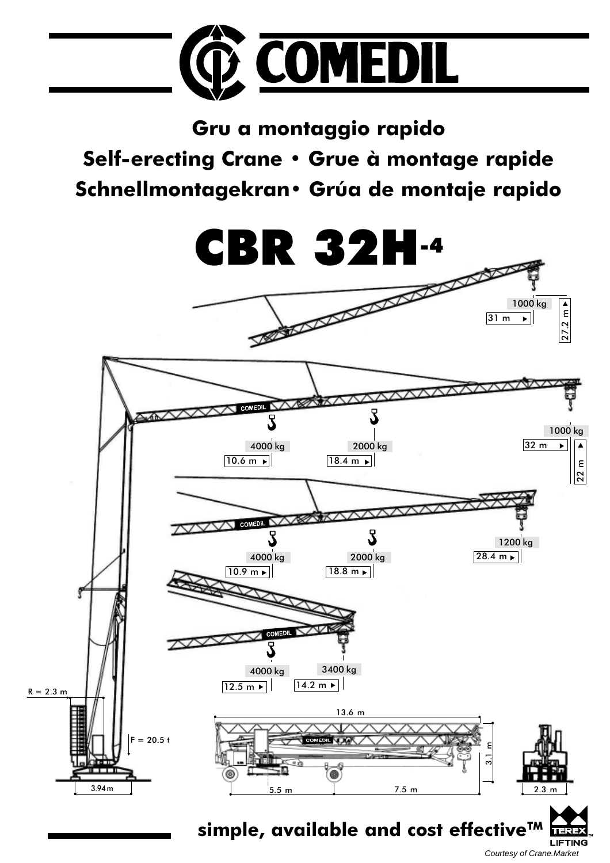

Gru a montaggio rapido Self-erecting Crane · Grue à montage rapide Schnellmontagekran· Grúa de montaje rapido



Courtesy of Crane.Market